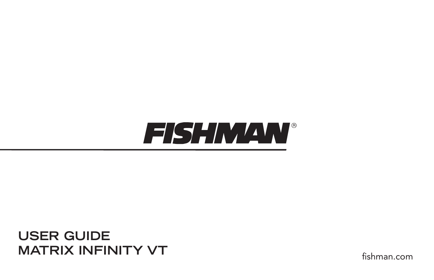

**USER GUIDE MATRIX INFINITY VT**

fishman.com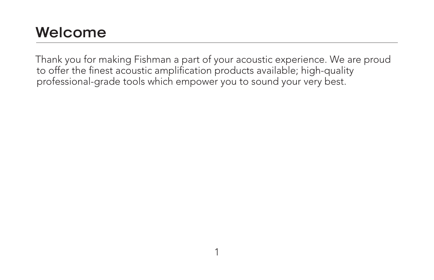### **Welcome**

Thank you for making Fishman a part of your acoustic experience. We are proud to offer the finest acoustic amplification products available; high-quality professional-grade tools which empower you to sound your very best.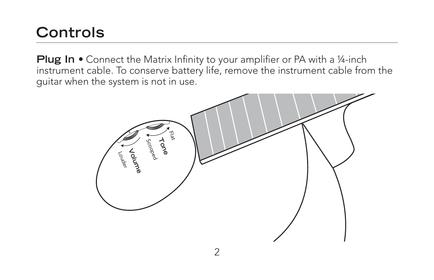### **Controls**

**Plug In •** Connect the Matrix Infinity to your amplifier or PA with a 1/4-inch instrument cable. To conserve battery life, remove the instrument cable from the guitar when the system is not in use.

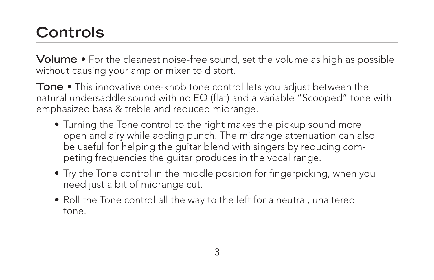# **Controls**

**Volume •** For the cleanest noise-free sound, set the volume as high as possible without causing your amp or mixer to distort.

**Tone** • This innovative one-knob tone control lets you adjust between the natural undersaddle sound with no EQ (flat) and a variable "Scooped" tone with emphasized bass & treble and reduced midrange.

- Turning the Tone control to the right makes the pickup sound more open and airy while adding punch. The midrange attenuation can also be useful for helping the guitar blend with singers by reducing competing frequencies the guitar produces in the vocal range.
- Try the Tone control in the middle position for fingerpicking, when you need just a bit of midrange cut.
- Roll the Tone control all the way to the left for a neutral, unaltered tone.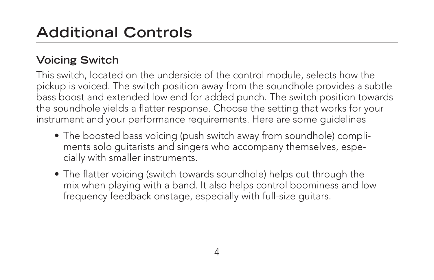## **Additional Controls**

### **Voicing Switch**

This switch, located on the underside of the control module, selects how the pickup is voiced. The switch position away from the soundhole provides a subtle bass boost and extended low end for added punch. The switch position towards the soundhole yields a flatter response. Choose the setting that works for your instrument and your performance requirements. Here are some guidelines

- The boosted bass voicing (push switch away from soundhole) compliments solo guitarists and singers who accompany themselves, especially with smaller instruments.
- The flatter voicing (switch towards soundhole) helps cut through the mix when playing with a band. It also helps control boominess and low frequency feedback onstage, especially with full-size guitars.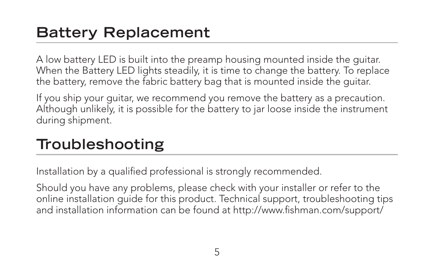### **Battery Replacement**

A low battery LED is built into the preamp housing mounted inside the guitar. When the Battery LED lights steadily, it is time to change the battery. To replace the battery, remove the fabric battery bag that is mounted inside the guitar.

If you ship your guitar, we recommend you remove the battery as a precaution. Although unlikely, it is possible for the battery to jar loose inside the instrument during shipment.

### **Troubleshooting**

Installation by a qualified professional is strongly recommended.

Should you have any problems, please check with your installer or refer to the online installation guide for this product. Technical support, troubleshooting tips and installation information can be found at http://www.fishman.com/support/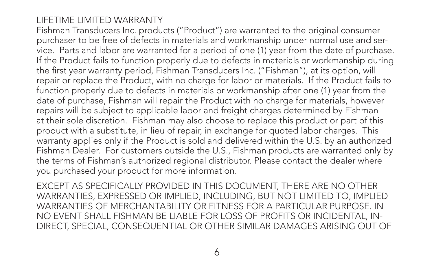#### LIFETIME LIMITED WARRANTY

Fishman Transducers Inc. products ("Product") are warranted to the original consumer purchaser to be free of defects in materials and workmanship under normal use and service. Parts and labor are warranted for a period of one (1) year from the date of purchase. If the Product fails to function properly due to defects in materials or workmanship during the first year warranty period, Fishman Transducers Inc. ("Fishman"), at its option, will repair or replace the Product, with no charge for labor or materials. If the Product fails to function properly due to defects in materials or workmanship after one (1) year from the date of purchase, Fishman will repair the Product with no charge for materials, however repairs will be subject to applicable labor and freight charges determined by Fishman at their sole discretion. Fishman may also choose to replace this product or part of this product with a substitute, in lieu of repair, in exchange for quoted labor charges. This warranty applies only if the Product is sold and delivered within the U.S. by an authorized Fishman Dealer. For customers outside the U.S., Fishman products are warranted only by the terms of Fishman's authorized regional distributor. Please contact the dealer where you purchased your product for more information.

EXCEPT AS SPECIFICALLY PROVIDED IN THIS DOCUMENT, THERE ARE NO OTHER WARRANTIES, EXPRESSED OR IMPLIED, INCLUDING, BUT NOT LIMITED TO, IMPLIED WARRANTIES OF MERCHANTABILITY OR FITNESS FOR A PARTICULAR PURPOSE. IN NO EVENT SHALL FISHMAN BE LIABLE FOR LOSS OF PROFITS OR INCIDENTAL, IN-DIRECT, SPECIAL, CONSEQUENTIAL OR OTHER SIMILAR DAMAGES ARISING OUT OF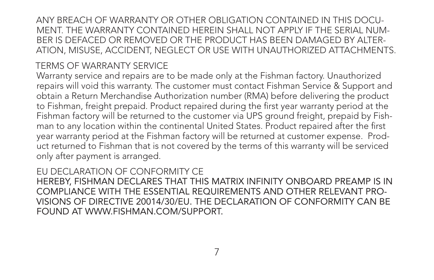ANY BREACH OF WARRANTY OR OTHER OBLIGATION CONTAINED IN THIS DOCU-MENT. THE WARRANTY CONTAINED HEREIN SHALL NOT APPLY IF THE SERIAL NUM-BER IS DEFACED OR REMOVED OR THE PRODUCT HAS BEEN DAMAGED BY ALTER-ATION, MISUSE, ACCIDENT, NEGLECT OR USE WITH UNAUTHORIZED ATTACHMENTS.

### TERMS OF WARRANTY SERVICE

Warranty service and repairs are to be made only at the Fishman factory. Unauthorized repairs will void this warranty. The customer must contact Fishman Service & Support and obtain a Return Merchandise Authorization number (RMA) before delivering the product to Fishman, freight prepaid. Product repaired during the first year warranty period at the Fishman factory will be returned to the customer via UPS ground freight, prepaid by Fishman to any location within the continental United States. Product repaired after the first year warranty period at the Fishman factory will be returned at customer expense. Product returned to Fishman that is not covered by the terms of this warranty will be serviced only after payment is arranged.

EU DECLARATION OF CONFORMITY CE HEREBY, FISHMAN DECLARES THAT THIS MATRIX INFINITY ONBOARD PREAMP IS IN COMPLIANCE WITH THE ESSENTIAL REQUIREMENTS AND OTHER RELEVANT PRO-VISIONS OF DIRECTIVE 20014/30/EU. THE DECLARATION OF CONFORMITY CAN BE FOUND AT WWW.FISHMAN.COM/SUPPORT.